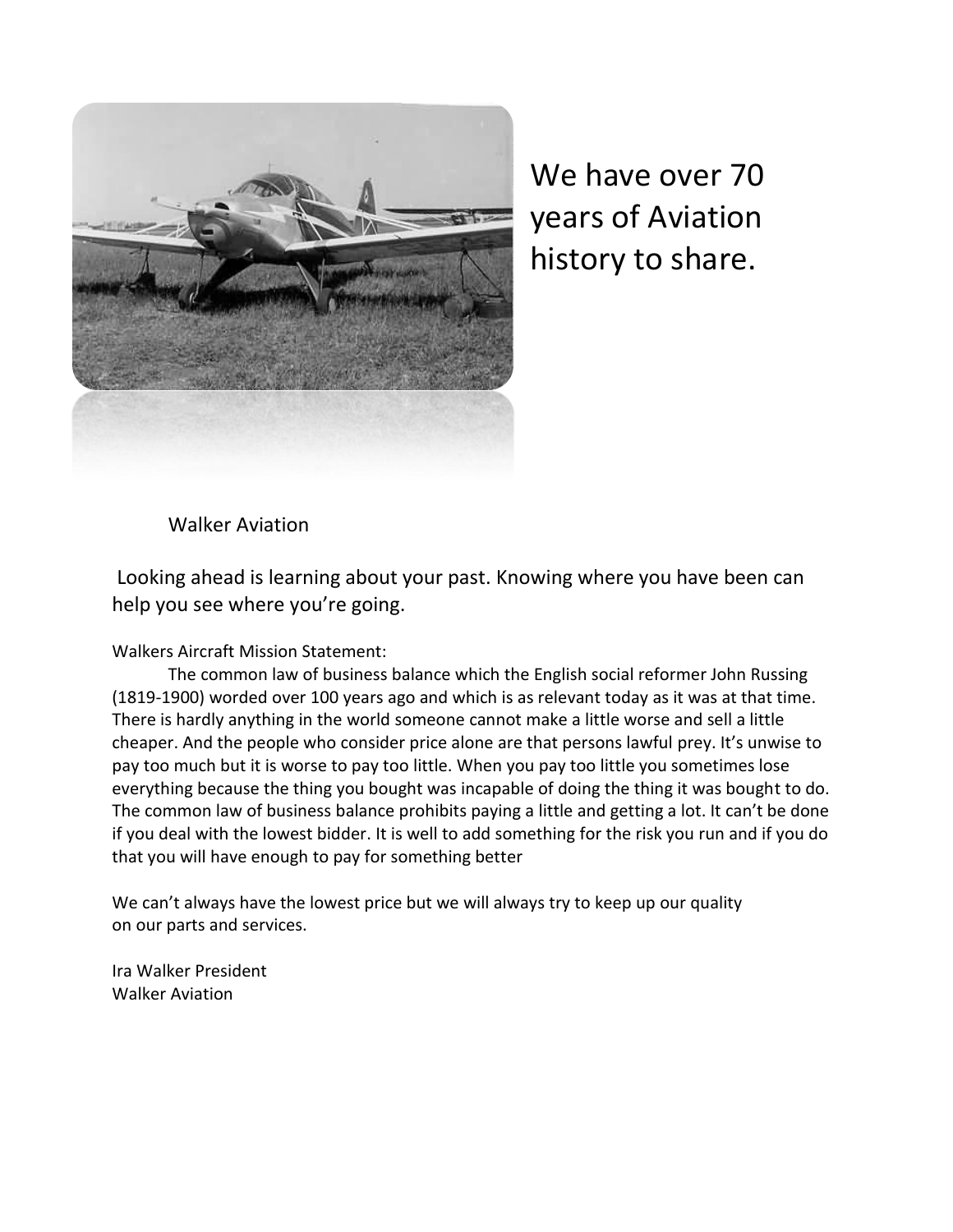

We have over 70 years of Aviation history to share.

Walker Aviation

Looking ahead is learning about your past. Knowing where you have been can help you see where you're going.

Walkers Aircraft Mission Statement:

The common law of business balance which the English social reformer John Russing (1819-1900) worded over 100 years ago and which is as relevant today as it was at that time. There is hardly anything in the world someone cannot make a little worse and sell a little cheaper. And the people who consider price alone are that persons lawful prey. It's unwise to pay too much but it is worse to pay too little. When you pay too little you sometimes lose everything because the thing you bought was incapable of doing the thing it was bought to do. The common law of business balance prohibits paying a little and getting a lot. It can't be done if you deal with the lowest bidder. It is well to add something for the risk you run and if you do that you will have enough to pay for something better

We can't always have the lowest price but we will always try to keep up our quality on our parts and services.

Ira Walker President Walker Aviation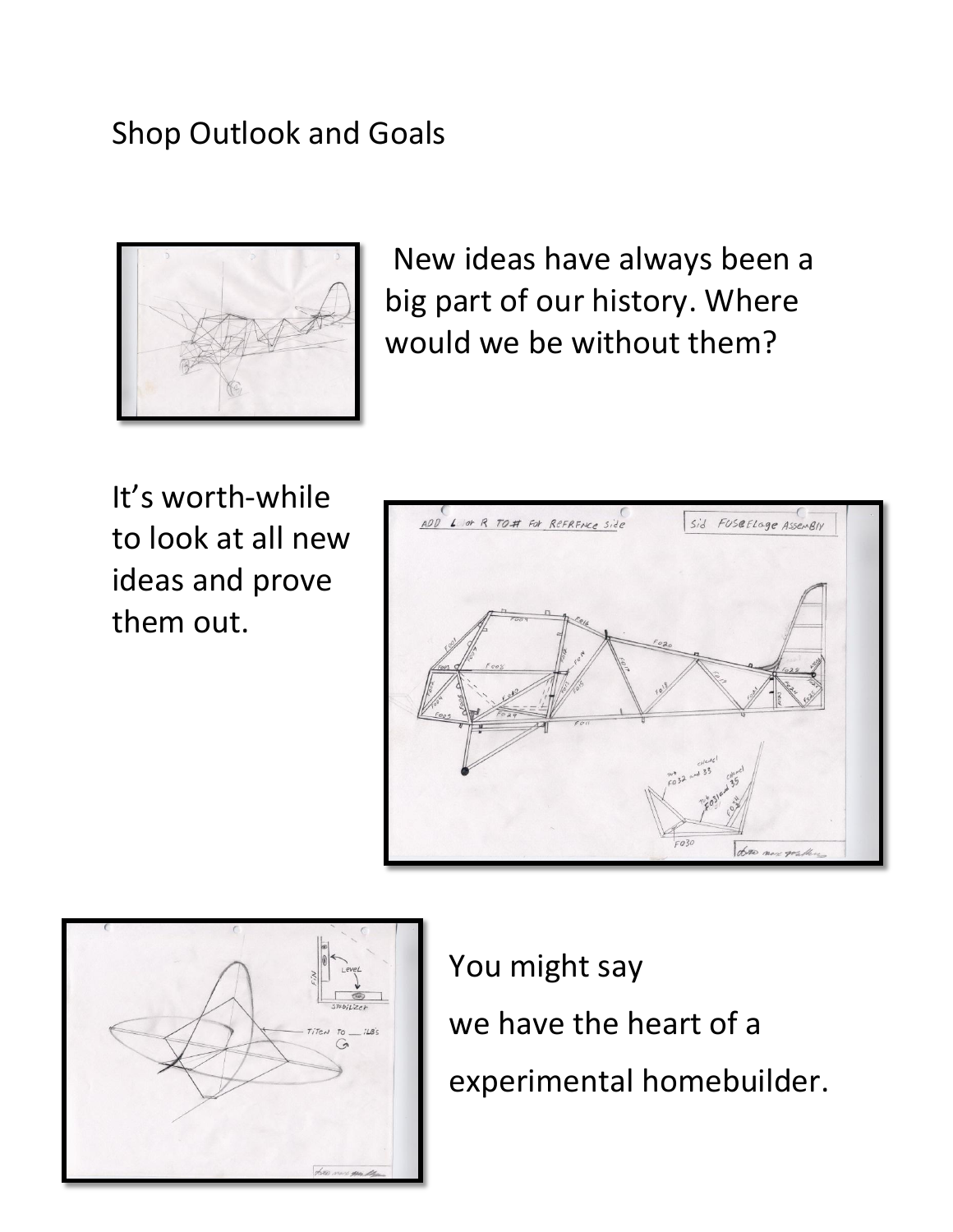# Shop Outlook and Goals



New ideas have always been a big part of our history. Where would we be without them?

It's worth-while to look at all new ideas and prove them out.





You might say we have the heart of a experimental homebuilder.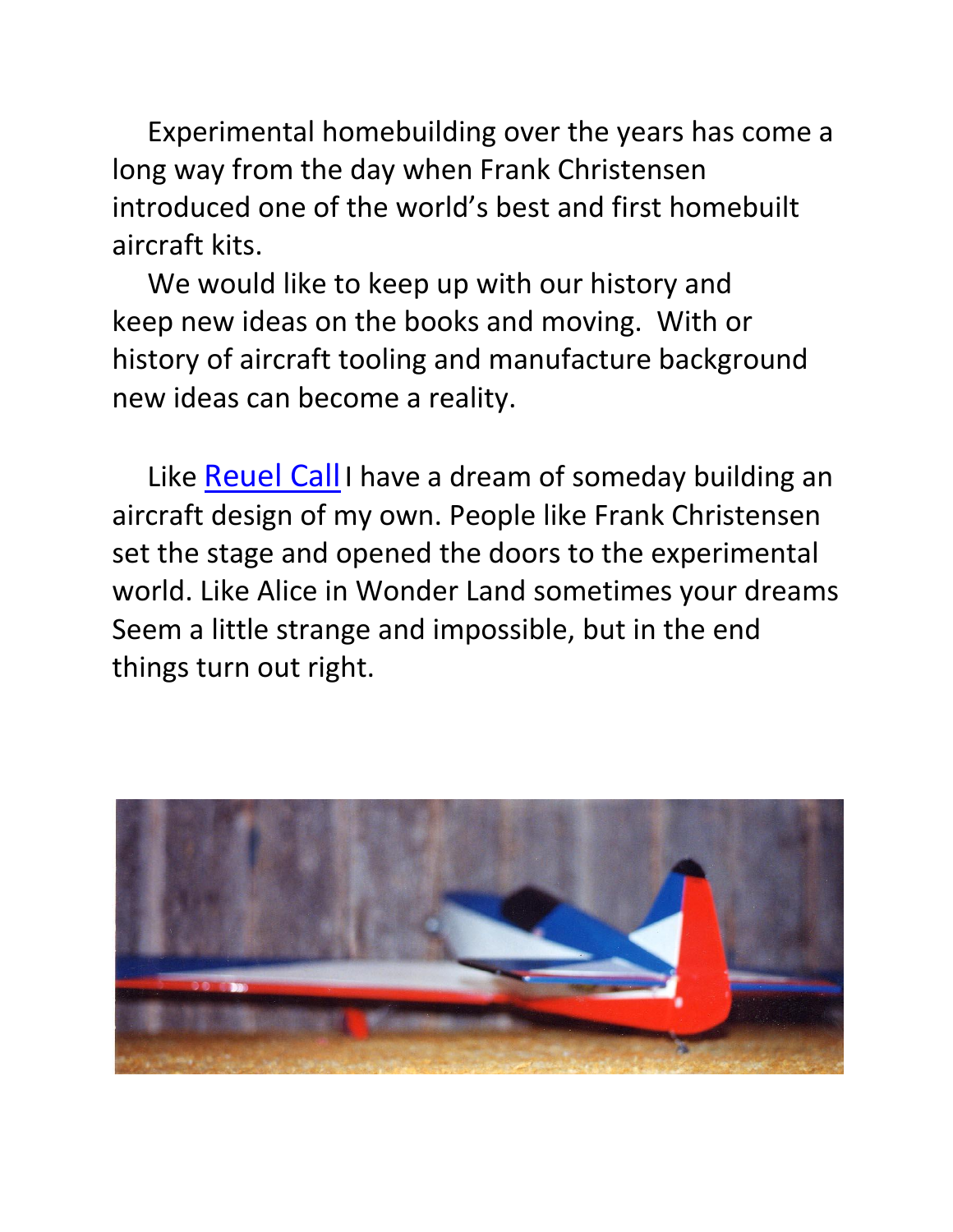Experimental homebuilding over the years has come a long way from the day when Frank Christensen introduced one of the world's best and first homebuilt aircraft kits.

 We would like to keep up with our history and keep new ideas on the books and moving. With or history of aircraft tooling and manufacture background new ideas can become a reality.

 Like [Reuel Call](http://www.ultimatewyoming.com/sectionpages/sec1/extras/callairmuseum.html) I have a dream of someday building an aircraft design of my own. People like Frank Christensen set the stage and opened the doors to the experimental world. Like Alice in Wonder Land sometimes your dreams Seem a little strange and impossible, but in the end things turn out right.

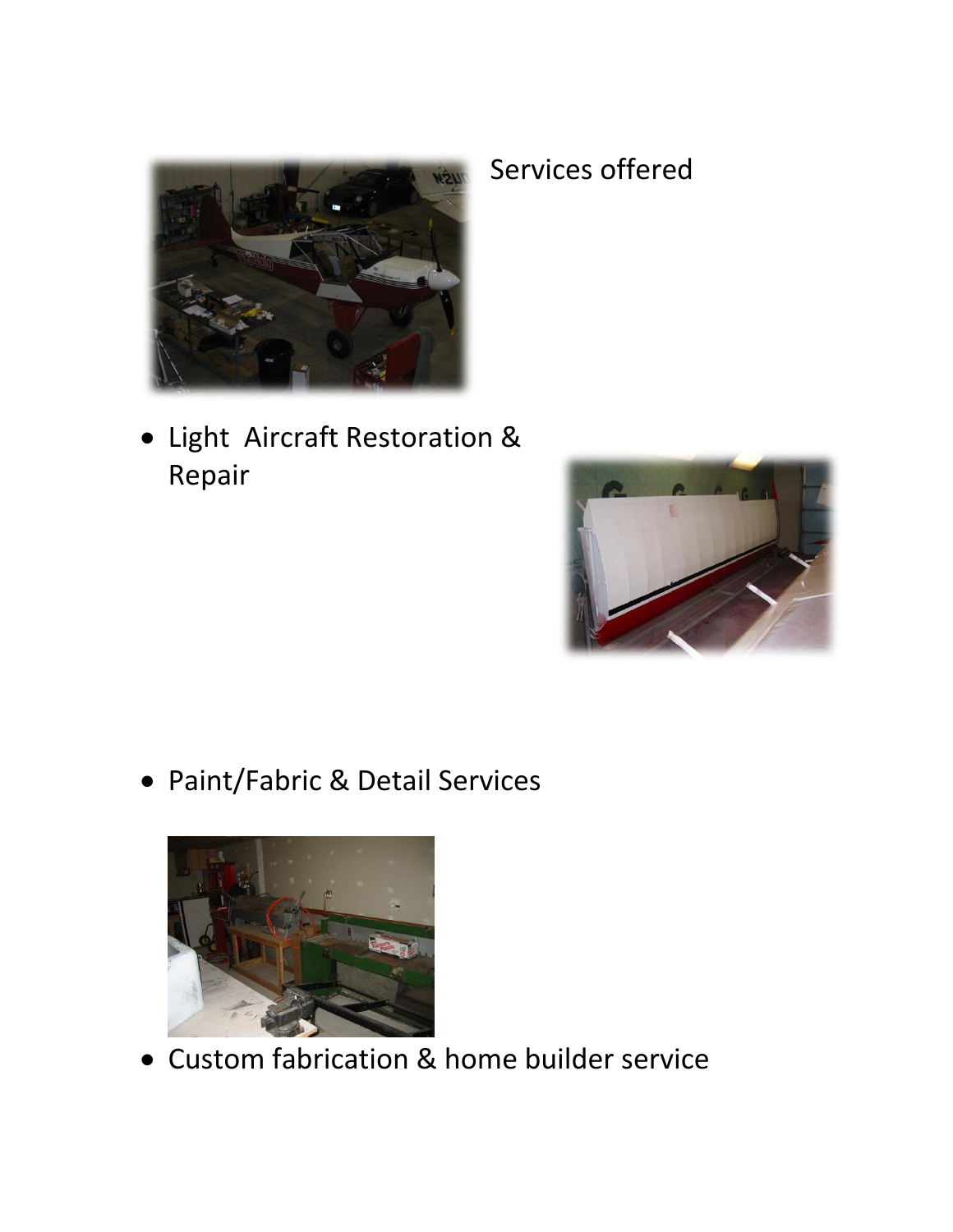

## Light Aircraft Restoration & Repair

Paint/Fabric & Detail Services



Custom fabrication & home builder service

## Services offered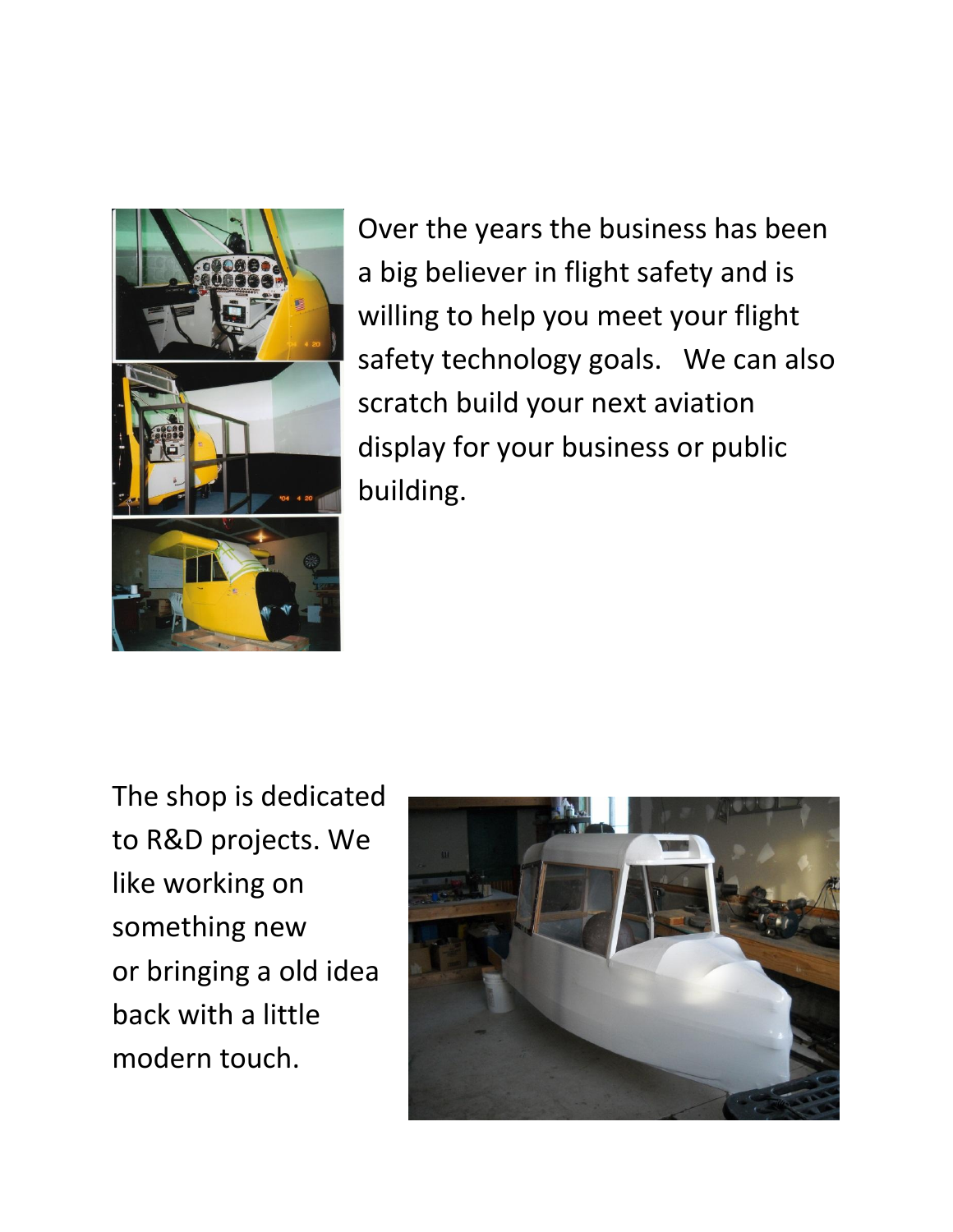

Over the years the business has been a big believer in flight safety and is willing to help you meet your flight safety technology goals. We can also scratch build your next aviation display for your business or public building.

The shop is dedicated to R&D projects. We like working on something new or bringing a old idea back with a little modern touch.